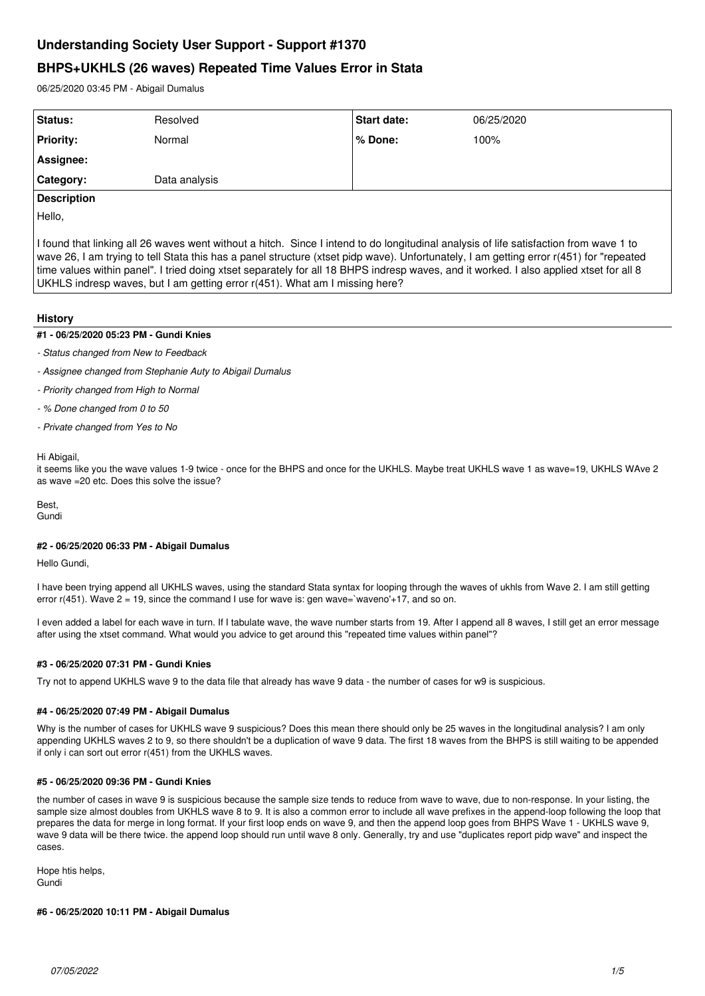# **Understanding Society User Support - Support #1370**

# **BHPS+UKHLS (26 waves) Repeated Time Values Error in Stata**

06/25/2020 03:45 PM - Abigail Dumalus

| Status:            | Resolved      | <b>Start date:</b> | 06/25/2020 |
|--------------------|---------------|--------------------|------------|
| <b>Priority:</b>   | Normal        | l% Done:           | 100%       |
| <b>Assignee:</b>   |               |                    |            |
| Category:          | Data analysis |                    |            |
| <b>Description</b> |               |                    |            |

Hello,

I found that linking all 26 waves went without a hitch. Since I intend to do longitudinal analysis of life satisfaction from wave 1 to wave 26, I am trying to tell Stata this has a panel structure (xtset pidp wave). Unfortunately, I am getting error r(451) for "repeated time values within panel". I tried doing xtset separately for all 18 BHPS indresp waves, and it worked. I also applied xtset for all 8 UKHLS indresp waves, but I am getting error r(451). What am I missing here?

# **History**

# **#1 - 06/25/2020 05:23 PM - Gundi Knies**

- *Status changed from New to Feedback*
- *Assignee changed from Stephanie Auty to Abigail Dumalus*
- *Priority changed from High to Normal*
- *% Done changed from 0 to 50*
- *Private changed from Yes to No*

### Hi Abigail,

it seems like you the wave values 1-9 twice - once for the BHPS and once for the UKHLS. Maybe treat UKHLS wave 1 as wave=19, UKHLS WAve 2 as wave =20 etc. Does this solve the issue?

Best, Gundi

# **#2 - 06/25/2020 06:33 PM - Abigail Dumalus**

Hello Gundi,

I have been trying append all UKHLS waves, using the standard Stata syntax for looping through the waves of ukhls from Wave 2. I am still getting error  $r(451)$ . Wave  $2 = 19$ , since the command I use for wave is: gen wave=`waveno'+17, and so on.

I even added a label for each wave in turn. If I tabulate wave, the wave number starts from 19. After I append all 8 waves, I still get an error message after using the xtset command. What would you advice to get around this "repeated time values within panel"?

# **#3 - 06/25/2020 07:31 PM - Gundi Knies**

Try not to append UKHLS wave 9 to the data file that already has wave 9 data - the number of cases for w9 is suspicious.

# **#4 - 06/25/2020 07:49 PM - Abigail Dumalus**

Why is the number of cases for UKHLS wave 9 suspicious? Does this mean there should only be 25 waves in the longitudinal analysis? I am only appending UKHLS waves 2 to 9, so there shouldn't be a duplication of wave 9 data. The first 18 waves from the BHPS is still waiting to be appended if only i can sort out error r(451) from the UKHLS waves.

# **#5 - 06/25/2020 09:36 PM - Gundi Knies**

the number of cases in wave 9 is suspicious because the sample size tends to reduce from wave to wave, due to non-response. In your listing, the sample size almost doubles from UKHLS wave 8 to 9. It is also a common error to include all wave prefixes in the append-loop following the loop that prepares the data for merge in long format. If your first loop ends on wave 9, and then the append loop goes from BHPS Wave 1 - UKHLS wave 9, wave 9 data will be there twice. the append loop should run until wave 8 only. Generally, try and use "duplicates report pidp wave" and inspect the cases.

Hope htis helps, Gundi

# **#6 - 06/25/2020 10:11 PM - Abigail Dumalus**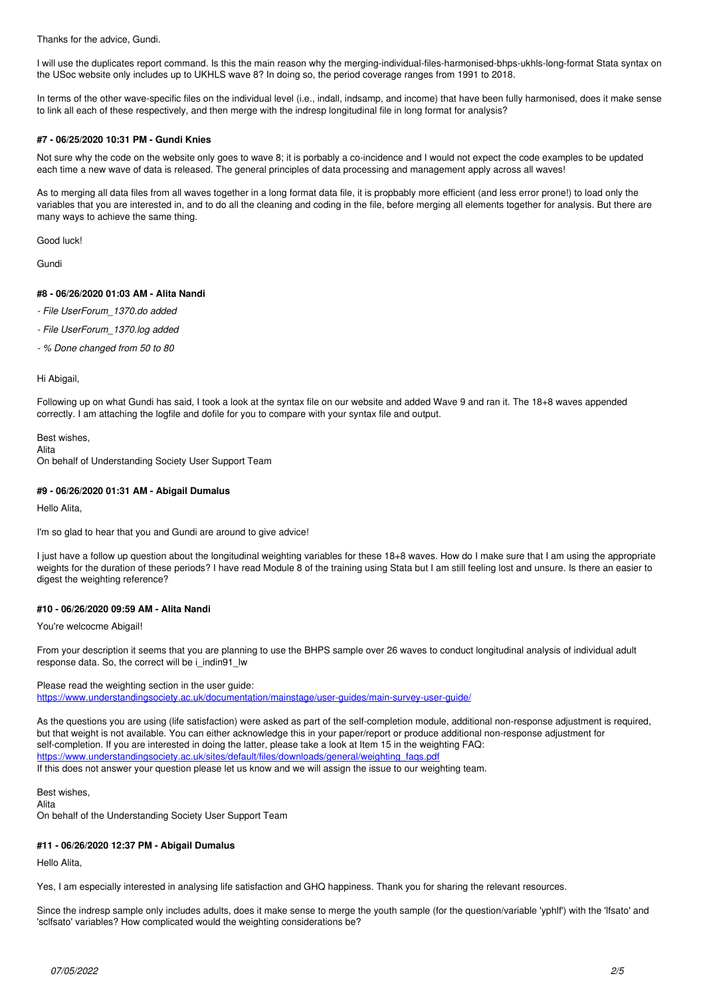Thanks for the advice, Gundi.

I will use the duplicates report command. Is this the main reason why the merging-individual-files-harmonised-bhps-ukhls-long-format Stata syntax on the USoc website only includes up to UKHLS wave 8? In doing so, the period coverage ranges from 1991 to 2018.

In terms of the other wave-specific files on the individual level (i.e., indall, indsamp, and income) that have been fully harmonised, does it make sense to link all each of these respectively, and then merge with the indresp longitudinal file in long format for analysis?

### **#7 - 06/25/2020 10:31 PM - Gundi Knies**

Not sure why the code on the website only goes to wave 8; it is porbably a co-incidence and I would not expect the code examples to be updated each time a new wave of data is released. The general principles of data processing and management apply across all waves!

As to merging all data files from all waves together in a long format data file, it is propbably more efficient (and less error prone!) to load only the variables that you are interested in, and to do all the cleaning and coding in the file, before merging all elements together for analysis. But there are many ways to achieve the same thing.

Good luck!

Gundi

# **#8 - 06/26/2020 01:03 AM - Alita Nandi**

- *File UserForum\_1370.do added*
- *File UserForum\_1370.log added*
- *% Done changed from 50 to 80*

#### Hi Abigail,

Following up on what Gundi has said, I took a look at the syntax file on our website and added Wave 9 and ran it. The 18+8 waves appended correctly. I am attaching the logfile and dofile for you to compare with your syntax file and output.

Best wishes,

Alita

On behalf of Understanding Society User Support Team

### **#9 - 06/26/2020 01:31 AM - Abigail Dumalus**

Hello Alita,

I'm so glad to hear that you and Gundi are around to give advice!

I just have a follow up question about the longitudinal weighting variables for these 18+8 waves. How do I make sure that I am using the appropriate weights for the duration of these periods? I have read Module 8 of the training using Stata but I am still feeling lost and unsure. Is there an easier to digest the weighting reference?

#### **#10 - 06/26/2020 09:59 AM - Alita Nandi**

You're welcocme Abigail!

From your description it seems that you are planning to use the BHPS sample over 26 waves to conduct longitudinal analysis of individual adult response data. So, the correct will be i\_indin91\_lw

#### Please read the weighting section in the user guide:

<https://www.understandingsociety.ac.uk/documentation/mainstage/user-guides/main-survey-user-guide/>

As the questions you are using (life satisfaction) were asked as part of the self-completion module, additional non-response adjustment is required, but that weight is not available. You can either acknowledge this in your paper/report or produce additional non-response adjustment for self-completion. If you are interested in doing the latter, please take a look at Item 15 in the weighting FAQ: https://www.understandingsociety.ac.uk/sites/default/files/downloads/general/weighting\_faq If this does not answer your question please let us know and we will assign the issue to our weighting team.

Best wishes, Alita

On behalf of the Understanding Society User Support Team

# **#11 - 06/26/2020 12:37 PM - Abigail Dumalus**

Hello Alita,

Yes, I am especially interested in analysing life satisfaction and GHQ happiness. Thank you for sharing the relevant resources.

Since the indresp sample only includes adults, does it make sense to merge the youth sample (for the question/variable 'yphlf') with the 'lfsato' and 'sclfsato' variables? How complicated would the weighting considerations be?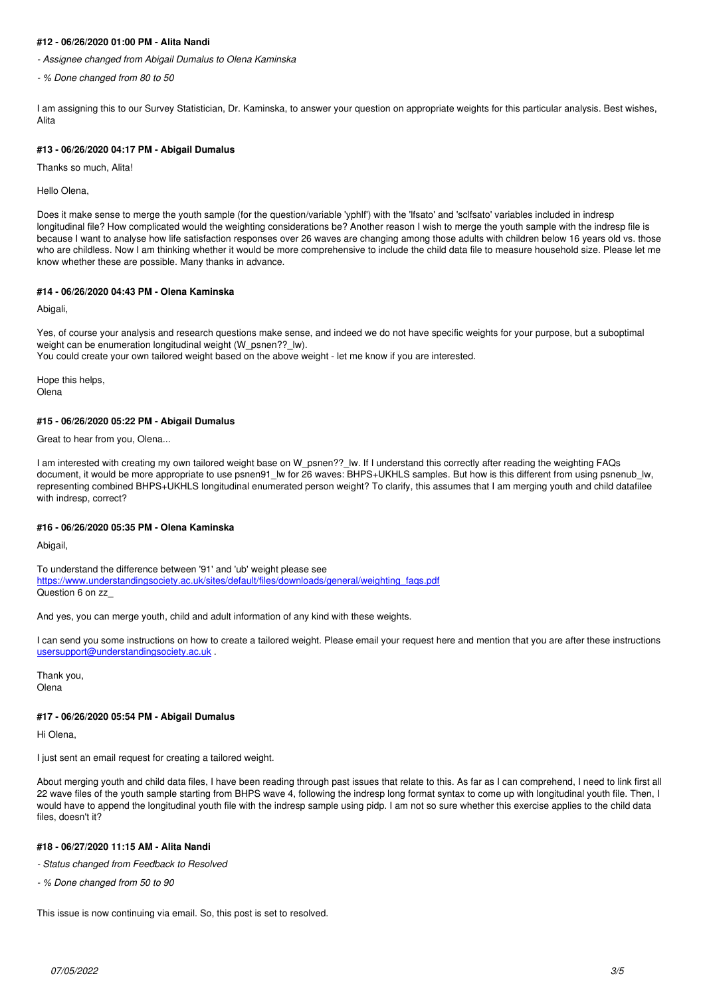# **#12 - 06/26/2020 01:00 PM - Alita Nandi**

*- Assignee changed from Abigail Dumalus to Olena Kaminska*

*- % Done changed from 80 to 50*

I am assigning this to our Survey Statistician, Dr. Kaminska, to answer your question on appropriate weights for this particular analysis. Best wishes, Alita

#### **#13 - 06/26/2020 04:17 PM - Abigail Dumalus**

Thanks so much, Alita!

Hello Olena,

Does it make sense to merge the youth sample (for the question/variable 'yphlf') with the 'lfsato' and 'sclfsato' variables included in indresp longitudinal file? How complicated would the weighting considerations be? Another reason I wish to merge the youth sample with the indresp file is because I want to analyse how life satisfaction responses over 26 waves are changing among those adults with children below 16 years old vs. those who are childless. Now I am thinking whether it would be more comprehensive to include the child data file to measure household size. Please let me know whether these are possible. Many thanks in advance.

#### **#14 - 06/26/2020 04:43 PM - Olena Kaminska**

Abigali,

Yes, of course your analysis and research questions make sense, and indeed we do not have specific weights for your purpose, but a suboptimal weight can be enumeration longitudinal weight (W\_psnen??\_lw).

You could create your own tailored weight based on the above weight - let me know if you are interested.

Hope this helps, **Olena** 

#### **#15 - 06/26/2020 05:22 PM - Abigail Dumalus**

Great to hear from you, Olena...

I am interested with creating my own tailored weight base on W\_psnen??\_lw. If I understand this correctly after reading the weighting FAQs document, it would be more appropriate to use psnen91 lw for 26 waves: BHPS+UKHLS samples. But how is this different from using psnenub lw, representing combined BHPS+UKHLS longitudinal enumerated person weight? To clarify, this assumes that I am merging youth and child datafilee with indresp, correct?

#### **#16 - 06/26/2020 05:35 PM - Olena Kaminska**

Abigail,

To understand the difference between '91' and 'ub' weight please see https://www.understandingsociety.ac.uk/sites/default/files/downloads/general/weighting\_fags.pdf Question 6 on zz\_

And yes, you can merge youth, child and adult information of any kind with these weights.

I can send you some instructions on how to create a tailored weight. Please email your request here and mention that you are after these instructions [usersupport@understandingsociety.ac.uk](mailto:usersupport@understandingsociety.ac.uk)

Thank you, Olena

#### **#17 - 06/26/2020 05:54 PM - Abigail Dumalus**

Hi Olena,

I just sent an email request for creating a tailored weight.

About merging youth and child data files, I have been reading through past issues that relate to this. As far as I can comprehend, I need to link first all 22 wave files of the youth sample starting from BHPS wave 4, following the indresp long format syntax to come up with longitudinal youth file. Then, I would have to append the longitudinal youth file with the indresp sample using pidp. I am not so sure whether this exercise applies to the child data files, doesn't it?

### **#18 - 06/27/2020 11:15 AM - Alita Nandi**

*- Status changed from Feedback to Resolved*

*- % Done changed from 50 to 90*

This issue is now continuing via email. So, this post is set to resolved.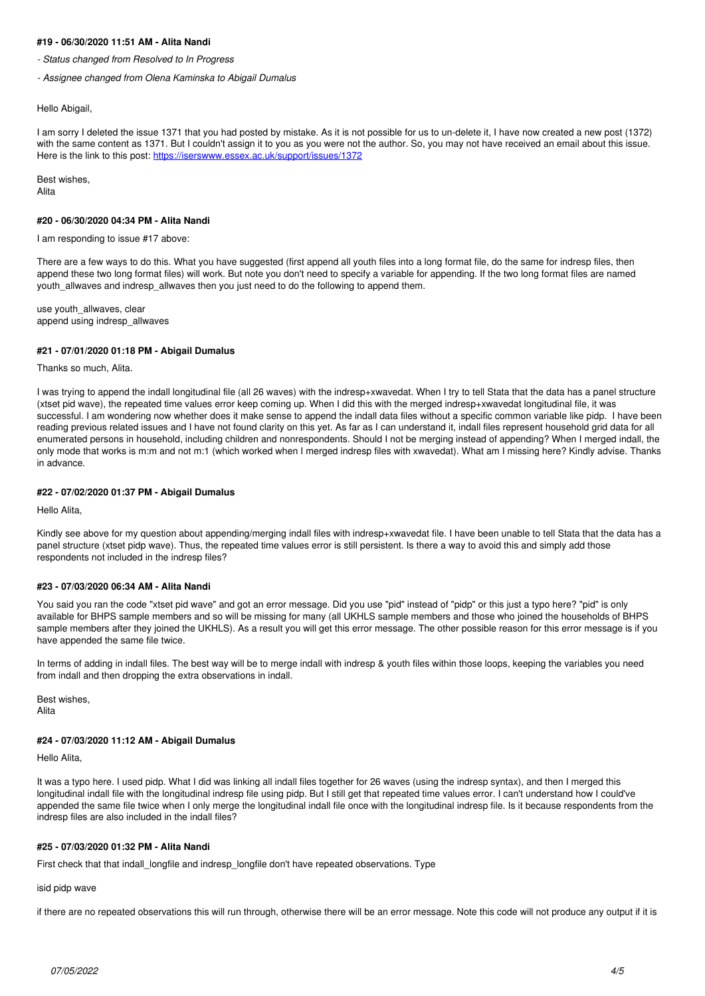### **#19 - 06/30/2020 11:51 AM - Alita Nandi**

*- Status changed from Resolved to In Progress*

*- Assignee changed from Olena Kaminska to Abigail Dumalus*

#### Hello Abigail,

I am sorry I deleted the issue 1371 that you had posted by mistake. As it is not possible for us to un-delete it, I have now created a new post (1372) with the same content as 1371. But I couldn't assign it to you as you were not the author. So, you may not have received an email about this issue. Here is the link to this post:<https://iserswww.essex.ac.uk/support/issues/1372>

Best wishes, Alita

#### **#20 - 06/30/2020 04:34 PM - Alita Nandi**

I am responding to issue #17 above:

There are a few ways to do this. What you have suggested (first append all youth files into a long format file, do the same for indresp files, then append these two long format files) will work. But note you don't need to specify a variable for appending. If the two long format files are named youth allwaves and indresp allwaves then you just need to do the following to append them.

use youth\_allwaves, clear append using indresp\_allwaves

#### **#21 - 07/01/2020 01:18 PM - Abigail Dumalus**

Thanks so much, Alita.

I was trying to append the indall longitudinal file (all 26 waves) with the indresp+xwavedat. When I try to tell Stata that the data has a panel structure (xtset pid wave), the repeated time values error keep coming up. When I did this with the merged indresp+xwavedat longitudinal file, it was successful. I am wondering now whether does it make sense to append the indall data files without a specific common variable like pidp. I have been reading previous related issues and I have not found clarity on this yet. As far as I can understand it, indall files represent household grid data for all enumerated persons in household, including children and nonrespondents. Should I not be merging instead of appending? When I merged indall, the only mode that works is m:m and not m:1 (which worked when I merged indresp files with xwavedat). What am I missing here? Kindly advise. Thanks in advance.

#### **#22 - 07/02/2020 01:37 PM - Abigail Dumalus**

Hello Alita,

Kindly see above for my question about appending/merging indall files with indresp+xwavedat file. I have been unable to tell Stata that the data has a panel structure (xtset pidp wave). Thus, the repeated time values error is still persistent. Is there a way to avoid this and simply add those respondents not included in the indresp files?

#### **#23 - 07/03/2020 06:34 AM - Alita Nandi**

You said you ran the code "xtset pid waye" and got an error message. Did you use "pid" instead of "pidp" or this just a typo here? "pid" is only available for BHPS sample members and so will be missing for many (all UKHLS sample members and those who joined the households of BHPS sample members after they joined the UKHLS). As a result you will get this error message. The other possible reason for this error message is if you have appended the same file twice.

In terms of adding in indall files. The best way will be to merge indall with indresp & youth files within those loops, keeping the variables you need from indall and then dropping the extra observations in indall.

Best wishes,

Alita

#### **#24 - 07/03/2020 11:12 AM - Abigail Dumalus**

Hello Alita,

It was a typo here. I used pidp. What I did was linking all indall files together for 26 waves (using the indresp syntax), and then I merged this longitudinal indall file with the longitudinal indresp file using pidp. But I still get that repeated time values error. I can't understand how I could've appended the same file twice when I only merge the longitudinal indall file once with the longitudinal indresp file. Is it because respondents from the indresp files are also included in the indall files?

# **#25 - 07/03/2020 01:32 PM - Alita Nandi**

First check that that indall\_longfile and indresp\_longfile don't have repeated observations. Type

isid pidp wave

if there are no repeated observations this will run through, otherwise there will be an error message. Note this code will not produce any output if it is